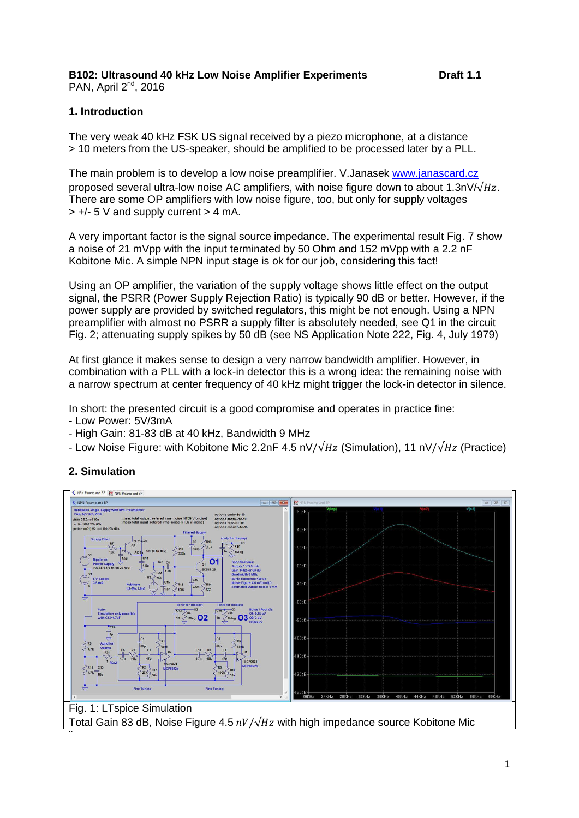# **B102: Ultrasound 40 kHz Low Noise Amplifier Experiments Draft 1.1**

PAN, April 2<sup>nd</sup>, 2016

### **1. Introduction**

The very weak 40 kHz FSK US signal received by a piezo microphone, at a distance > 10 meters from the US-speaker, should be amplified to be processed later by a PLL.

The main problem is to develop a low noise preamplifier. V.Janasek [www.janascard.cz](http://www.janascard.cz/) proposed several ultra-low noise AC amplifiers, with noise figure down to about 1.3n $V/\sqrt{Hz}$ . There are some OP amplifiers with low noise figure, too, but only for supply voltages  $> +/- 5$  V and supply current  $> 4$  mA.

A very important factor is the signal source impedance. The experimental result Fig. 7 show a noise of 21 mVpp with the input terminated by 50 Ohm and 152 mVpp with a 2.2 nF Kobitone Mic. A simple NPN input stage is ok for our job, considering this fact!

Using an OP amplifier, the variation of the supply voltage shows little effect on the output signal, the PSRR (Power Supply Rejection Ratio) is typically 90 dB or better. However, if the power supply are provided by switched regulators, this might be not enough. Using a NPN preamplifier with almost no PSRR a supply filter is absolutely needed, see Q1 in the circuit Fig. 2; attenuating supply spikes by 50 dB (see NS Application Note 222, Fig. 4, July 1979)

At first glance it makes sense to design a very narrow bandwidth amplifier. However, in combination with a PLL with a lock-in detector this is a wrong idea: the remaining noise with a narrow spectrum at center frequency of 40 kHz might trigger the lock-in detector in silence.

In short: the presented circuit is a good compromise and operates in practice fine:

- Low Power: 5V/3mA
- High Gain: 81-83 dB at 40 kHz, Bandwidth 9 MHz
- Low Noise Figure: with Kobitone Mic 2.2nF 4.5 nV/ $\sqrt{Hz}$  (Simulation), 11 nV/ $\sqrt{Hz}$  (Practice)



## **2. Simulation**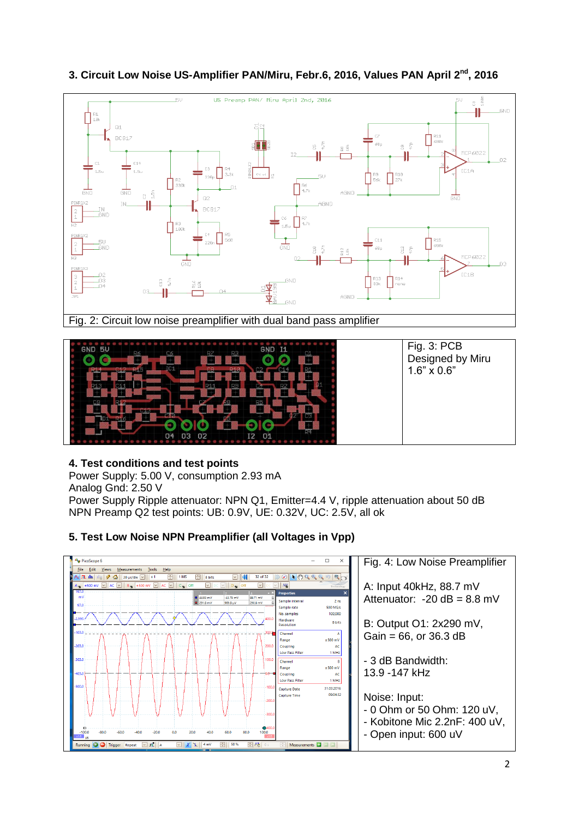

### **3. Circuit Low Noise US-Amplifier PAN/Miru, Febr.6, 2016, Values PAN April 2nd, 2016**



### **4. Test conditions and test points**

Power Supply: 5.00 V, consumption 2.93 mA Analog Gnd: 2.50 V

Power Supply Ripple attenuator: NPN Q1, Emitter=4.4 V, ripple attenuation about 50 dB NPN Preamp Q2 test points: UB: 0.9V, UE: 0.32V, UC: 2.5V, all ok

#### **A**<sub>p</sub> PicoScope 6  $\Box$ Fig. 4: Low Noise Preamplifier  $\underline{\text{File}}\quad \underline{\text{Edit}}\quad \underline{\text{Views}}\quad \underline{\text{Measurements}}\quad \underline{\text{Tools}}\quad \underline{\text{Help}}$  $\sqrt{1 - \ln |}$  $\sqrt{3|\mathcal{F}|\mathbf{a}|}$  20 µs/div  $\boxed{\circ}$  $\overline{x}$  $\overline{1}$  MS  $\boxed{\oplus}$  8 bits  $\odot$   $\rightarrow$   $\odot$   $\odot$  $f\in \mathbb{R}$  $\overline{\text{M}}$ A: Input 40kHz, 88.7 mV ⋗ Prope ł,  $-43.78$  mV<br>969.8 µV  $\frac{88.71 \text{ m}}{290.8 \text{ m}}$ Attenuator:  $-20$  dB = 8.8 mV 44.93 m) Sample interval  $2<sub>ns</sub>$  $500$  MS/s Sample rate<br>No. samples 100,00 Hardware<br>Resolution 8 bits B: Output O1: 2x290 mV, Channel  $\overline{A}$  $Gain = 66$ , or  $36.3$  dB Range<br>Coupling  $±500$  mV  $1 MHz$ Low Pass Filt - 3 dB Bandwidth: Channel  $\overline{B}$ Range  $±500$  mV 13.9 -147 kHz Coupling Low Pass Filte  $1$  MHz 31.03.2016 Canture Date 09:04:32 **Capture Time** Noise: Input: - 0 Ohm or 50 Ohm: 120 uV, - Kobitone Mic 2.2nF: 400 uV, - Open input: 600 uV $\overline{\mathsf{a}}$  00  $\overline{\mathbf{n}}$  $\overline{AB}$ Measurements Repeat

### **5. Test Low Noise NPN Preamplifier (all Voltages in Vpp)**